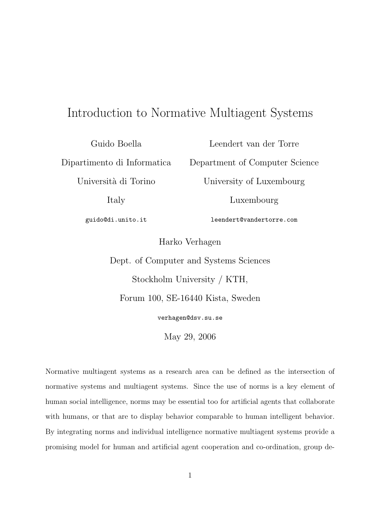# Introduction to Normative Multiagent Systems

Guido Boella Dipartimento di Informatica

Università di Torino

Italy

guido@di.unito.it

Leendert van der Torre Department of Computer Science University of Luxembourg Luxembourg

leendert@vandertorre.com

Harko Verhagen

Dept. of Computer and Systems Sciences Stockholm University / KTH, Forum 100, SE-16440 Kista, Sweden verhagen@dsv.su.se

May 29, 2006

Normative multiagent systems as a research area can be defined as the intersection of normative systems and multiagent systems. Since the use of norms is a key element of human social intelligence, norms may be essential too for artificial agents that collaborate with humans, or that are to display behavior comparable to human intelligent behavior. By integrating norms and individual intelligence normative multiagent systems provide a promising model for human and artificial agent cooperation and co-ordination, group de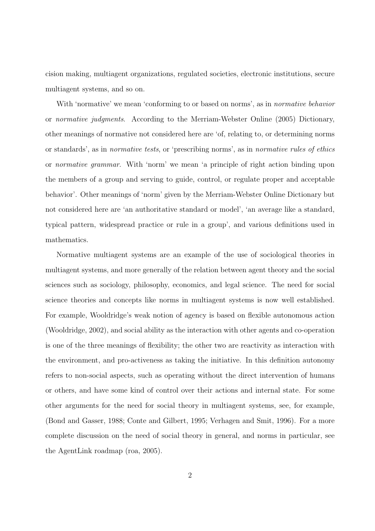cision making, multiagent organizations, regulated societies, electronic institutions, secure multiagent systems, and so on.

With 'normative' we mean 'conforming to or based on norms', as in *normative behavior* or normative judgments. According to the Merriam-Webster Online (2005) Dictionary, other meanings of normative not considered here are 'of, relating to, or determining norms or standards', as in normative tests, or 'prescribing norms', as in normative rules of ethics or normative grammar. With 'norm' we mean 'a principle of right action binding upon the members of a group and serving to guide, control, or regulate proper and acceptable behavior'. Other meanings of 'norm' given by the Merriam-Webster Online Dictionary but not considered here are 'an authoritative standard or model', 'an average like a standard, typical pattern, widespread practice or rule in a group', and various definitions used in mathematics.

Normative multiagent systems are an example of the use of sociological theories in multiagent systems, and more generally of the relation between agent theory and the social sciences such as sociology, philosophy, economics, and legal science. The need for social science theories and concepts like norms in multiagent systems is now well established. For example, Wooldridge's weak notion of agency is based on flexible autonomous action (Wooldridge, 2002), and social ability as the interaction with other agents and co-operation is one of the three meanings of flexibility; the other two are reactivity as interaction with the environment, and pro-activeness as taking the initiative. In this definition autonomy refers to non-social aspects, such as operating without the direct intervention of humans or others, and have some kind of control over their actions and internal state. For some other arguments for the need for social theory in multiagent systems, see, for example, (Bond and Gasser, 1988; Conte and Gilbert, 1995; Verhagen and Smit, 1996). For a more complete discussion on the need of social theory in general, and norms in particular, see the AgentLink roadmap (roa, 2005).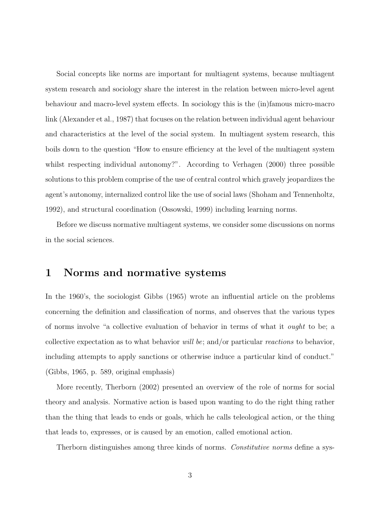Social concepts like norms are important for multiagent systems, because multiagent system research and sociology share the interest in the relation between micro-level agent behaviour and macro-level system effects. In sociology this is the (in)famous micro-macro link (Alexander et al., 1987) that focuses on the relation between individual agent behaviour and characteristics at the level of the social system. In multiagent system research, this boils down to the question "How to ensure efficiency at the level of the multiagent system whilst respecting individual autonomy?". According to Verhagen (2000) three possible solutions to this problem comprise of the use of central control which gravely jeopardizes the agent's autonomy, internalized control like the use of social laws (Shoham and Tennenholtz, 1992), and structural coordination (Ossowski, 1999) including learning norms.

Before we discuss normative multiagent systems, we consider some discussions on norms in the social sciences.

## 1 Norms and normative systems

In the 1960's, the sociologist Gibbs (1965) wrote an influential article on the problems concerning the definition and classification of norms, and observes that the various types of norms involve "a collective evaluation of behavior in terms of what it ought to be; a collective expectation as to what behavior will be; and/or particular reactions to behavior, including attempts to apply sanctions or otherwise induce a particular kind of conduct." (Gibbs, 1965, p. 589, original emphasis)

More recently, Therborn (2002) presented an overview of the role of norms for social theory and analysis. Normative action is based upon wanting to do the right thing rather than the thing that leads to ends or goals, which he calls teleological action, or the thing that leads to, expresses, or is caused by an emotion, called emotional action.

Therborn distinguishes among three kinds of norms. Constitutive norms define a sys-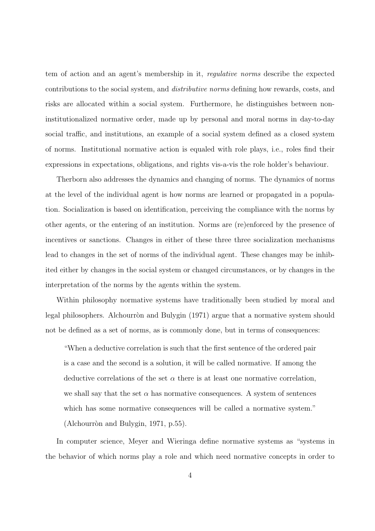tem of action and an agent's membership in it, regulative norms describe the expected contributions to the social system, and distributive norms defining how rewards, costs, and risks are allocated within a social system. Furthermore, he distinguishes between noninstitutionalized normative order, made up by personal and moral norms in day-to-day social traffic, and institutions, an example of a social system defined as a closed system of norms. Institutional normative action is equaled with role plays, i.e., roles find their expressions in expectations, obligations, and rights vis-a-vis the role holder's behaviour.

Therborn also addresses the dynamics and changing of norms. The dynamics of norms at the level of the individual agent is how norms are learned or propagated in a population. Socialization is based on identification, perceiving the compliance with the norms by other agents, or the entering of an institution. Norms are (re)enforced by the presence of incentives or sanctions. Changes in either of these three three socialization mechanisms lead to changes in the set of norms of the individual agent. These changes may be inhibited either by changes in the social system or changed circumstances, or by changes in the interpretation of the norms by the agents within the system.

Within philosophy normative systems have traditionally been studied by moral and legal philosophers. Alchourròn and Bulygin (1971) argue that a normative system should not be defined as a set of norms, as is commonly done, but in terms of consequences:

"When a deductive correlation is such that the first sentence of the ordered pair is a case and the second is a solution, it will be called normative. If among the deductive correlations of the set  $\alpha$  there is at least one normative correlation, we shall say that the set  $\alpha$  has normative consequences. A system of sentences which has some normative consequences will be called a normative system." (Alchourròn and Bulygin, 1971, p.55).

In computer science, Meyer and Wieringa define normative systems as "systems in the behavior of which norms play a role and which need normative concepts in order to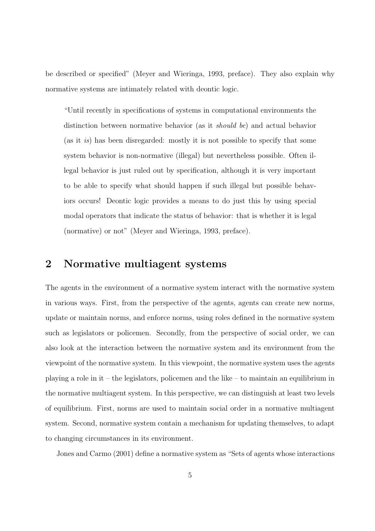be described or specified" (Meyer and Wieringa, 1993, preface). They also explain why normative systems are intimately related with deontic logic.

"Until recently in specifications of systems in computational environments the distinction between normative behavior (as it *should be*) and actual behavior (as it is) has been disregarded: mostly it is not possible to specify that some system behavior is non-normative (illegal) but nevertheless possible. Often illegal behavior is just ruled out by specification, although it is very important to be able to specify what should happen if such illegal but possible behaviors occurs! Deontic logic provides a means to do just this by using special modal operators that indicate the status of behavior: that is whether it is legal (normative) or not" (Meyer and Wieringa, 1993, preface).

# 2 Normative multiagent systems

The agents in the environment of a normative system interact with the normative system in various ways. First, from the perspective of the agents, agents can create new norms, update or maintain norms, and enforce norms, using roles defined in the normative system such as legislators or policemen. Secondly, from the perspective of social order, we can also look at the interaction between the normative system and its environment from the viewpoint of the normative system. In this viewpoint, the normative system uses the agents playing a role in it – the legislators, policemen and the like – to maintain an equilibrium in the normative multiagent system. In this perspective, we can distinguish at least two levels of equilibrium. First, norms are used to maintain social order in a normative multiagent system. Second, normative system contain a mechanism for updating themselves, to adapt to changing circumstances in its environment.

Jones and Carmo (2001) define a normative system as "Sets of agents whose interactions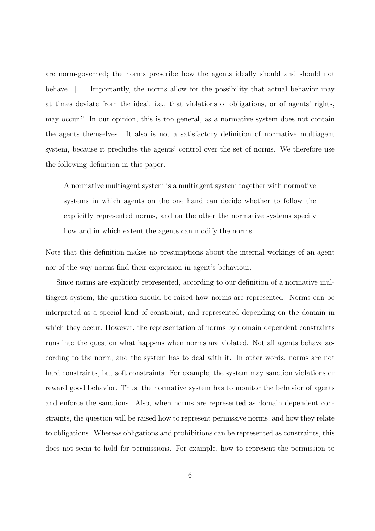are norm-governed; the norms prescribe how the agents ideally should and should not behave. [...] Importantly, the norms allow for the possibility that actual behavior may at times deviate from the ideal, i.e., that violations of obligations, or of agents' rights, may occur." In our opinion, this is too general, as a normative system does not contain the agents themselves. It also is not a satisfactory definition of normative multiagent system, because it precludes the agents' control over the set of norms. We therefore use the following definition in this paper.

A normative multiagent system is a multiagent system together with normative systems in which agents on the one hand can decide whether to follow the explicitly represented norms, and on the other the normative systems specify how and in which extent the agents can modify the norms.

Note that this definition makes no presumptions about the internal workings of an agent nor of the way norms find their expression in agent's behaviour.

Since norms are explicitly represented, according to our definition of a normative multiagent system, the question should be raised how norms are represented. Norms can be interpreted as a special kind of constraint, and represented depending on the domain in which they occur. However, the representation of norms by domain dependent constraints runs into the question what happens when norms are violated. Not all agents behave according to the norm, and the system has to deal with it. In other words, norms are not hard constraints, but soft constraints. For example, the system may sanction violations or reward good behavior. Thus, the normative system has to monitor the behavior of agents and enforce the sanctions. Also, when norms are represented as domain dependent constraints, the question will be raised how to represent permissive norms, and how they relate to obligations. Whereas obligations and prohibitions can be represented as constraints, this does not seem to hold for permissions. For example, how to represent the permission to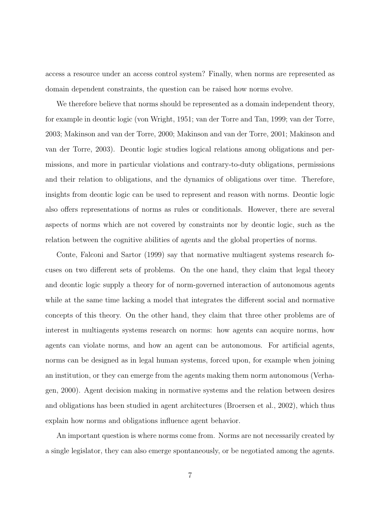access a resource under an access control system? Finally, when norms are represented as domain dependent constraints, the question can be raised how norms evolve.

We therefore believe that norms should be represented as a domain independent theory, for example in deontic logic (von Wright, 1951; van der Torre and Tan, 1999; van der Torre, 2003; Makinson and van der Torre, 2000; Makinson and van der Torre, 2001; Makinson and van der Torre, 2003). Deontic logic studies logical relations among obligations and permissions, and more in particular violations and contrary-to-duty obligations, permissions and their relation to obligations, and the dynamics of obligations over time. Therefore, insights from deontic logic can be used to represent and reason with norms. Deontic logic also offers representations of norms as rules or conditionals. However, there are several aspects of norms which are not covered by constraints nor by deontic logic, such as the relation between the cognitive abilities of agents and the global properties of norms.

Conte, Falconi and Sartor (1999) say that normative multiagent systems research focuses on two different sets of problems. On the one hand, they claim that legal theory and deontic logic supply a theory for of norm-governed interaction of autonomous agents while at the same time lacking a model that integrates the different social and normative concepts of this theory. On the other hand, they claim that three other problems are of interest in multiagents systems research on norms: how agents can acquire norms, how agents can violate norms, and how an agent can be autonomous. For artificial agents, norms can be designed as in legal human systems, forced upon, for example when joining an institution, or they can emerge from the agents making them norm autonomous (Verhagen, 2000). Agent decision making in normative systems and the relation between desires and obligations has been studied in agent architectures (Broersen et al., 2002), which thus explain how norms and obligations influence agent behavior.

An important question is where norms come from. Norms are not necessarily created by a single legislator, they can also emerge spontaneously, or be negotiated among the agents.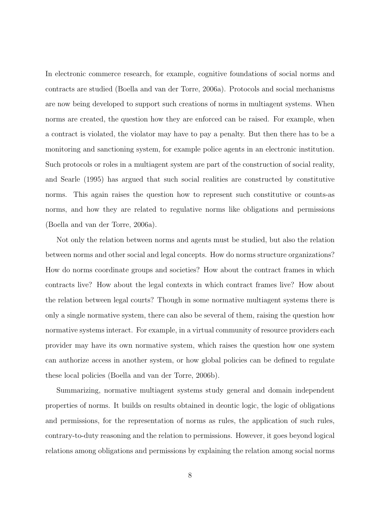In electronic commerce research, for example, cognitive foundations of social norms and contracts are studied (Boella and van der Torre, 2006a). Protocols and social mechanisms are now being developed to support such creations of norms in multiagent systems. When norms are created, the question how they are enforced can be raised. For example, when a contract is violated, the violator may have to pay a penalty. But then there has to be a monitoring and sanctioning system, for example police agents in an electronic institution. Such protocols or roles in a multiagent system are part of the construction of social reality, and Searle (1995) has argued that such social realities are constructed by constitutive norms. This again raises the question how to represent such constitutive or counts-as norms, and how they are related to regulative norms like obligations and permissions (Boella and van der Torre, 2006a).

Not only the relation between norms and agents must be studied, but also the relation between norms and other social and legal concepts. How do norms structure organizations? How do norms coordinate groups and societies? How about the contract frames in which contracts live? How about the legal contexts in which contract frames live? How about the relation between legal courts? Though in some normative multiagent systems there is only a single normative system, there can also be several of them, raising the question how normative systems interact. For example, in a virtual community of resource providers each provider may have its own normative system, which raises the question how one system can authorize access in another system, or how global policies can be defined to regulate these local policies (Boella and van der Torre, 2006b).

Summarizing, normative multiagent systems study general and domain independent properties of norms. It builds on results obtained in deontic logic, the logic of obligations and permissions, for the representation of norms as rules, the application of such rules, contrary-to-duty reasoning and the relation to permissions. However, it goes beyond logical relations among obligations and permissions by explaining the relation among social norms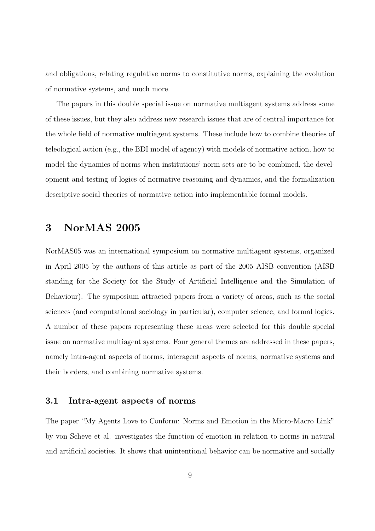and obligations, relating regulative norms to constitutive norms, explaining the evolution of normative systems, and much more.

The papers in this double special issue on normative multiagent systems address some of these issues, but they also address new research issues that are of central importance for the whole field of normative multiagent systems. These include how to combine theories of teleological action (e.g., the BDI model of agency) with models of normative action, how to model the dynamics of norms when institutions' norm sets are to be combined, the development and testing of logics of normative reasoning and dynamics, and the formalization descriptive social theories of normative action into implementable formal models.

## 3 NorMAS 2005

NorMAS05 was an international symposium on normative multiagent systems, organized in April 2005 by the authors of this article as part of the 2005 AISB convention (AISB standing for the Society for the Study of Artificial Intelligence and the Simulation of Behaviour). The symposium attracted papers from a variety of areas, such as the social sciences (and computational sociology in particular), computer science, and formal logics. A number of these papers representing these areas were selected for this double special issue on normative multiagent systems. Four general themes are addressed in these papers, namely intra-agent aspects of norms, interagent aspects of norms, normative systems and their borders, and combining normative systems.

### 3.1 Intra-agent aspects of norms

The paper "My Agents Love to Conform: Norms and Emotion in the Micro-Macro Link" by von Scheve et al. investigates the function of emotion in relation to norms in natural and artificial societies. It shows that unintentional behavior can be normative and socially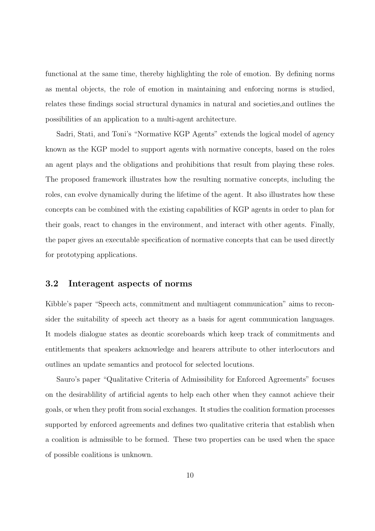functional at the same time, thereby highlighting the role of emotion. By defining norms as mental objects, the role of emotion in maintaining and enforcing norms is studied, relates these findings social structural dynamics in natural and societies,and outlines the possibilities of an application to a multi-agent architecture.

Sadri, Stati, and Toni's "Normative KGP Agents" extends the logical model of agency known as the KGP model to support agents with normative concepts, based on the roles an agent plays and the obligations and prohibitions that result from playing these roles. The proposed framework illustrates how the resulting normative concepts, including the roles, can evolve dynamically during the lifetime of the agent. It also illustrates how these concepts can be combined with the existing capabilities of KGP agents in order to plan for their goals, react to changes in the environment, and interact with other agents. Finally, the paper gives an executable specification of normative concepts that can be used directly for prototyping applications.

### 3.2 Interagent aspects of norms

Kibble's paper "Speech acts, commitment and multiagent communication" aims to reconsider the suitability of speech act theory as a basis for agent communication languages. It models dialogue states as deontic scoreboards which keep track of commitments and entitlements that speakers acknowledge and hearers attribute to other interlocutors and outlines an update semantics and protocol for selected locutions.

Sauro's paper "Qualitative Criteria of Admissibility for Enforced Agreements" focuses on the desirablility of artificial agents to help each other when they cannot achieve their goals, or when they profit from social exchanges. It studies the coalition formation processes supported by enforced agreements and defines two qualitative criteria that establish when a coalition is admissible to be formed. These two properties can be used when the space of possible coalitions is unknown.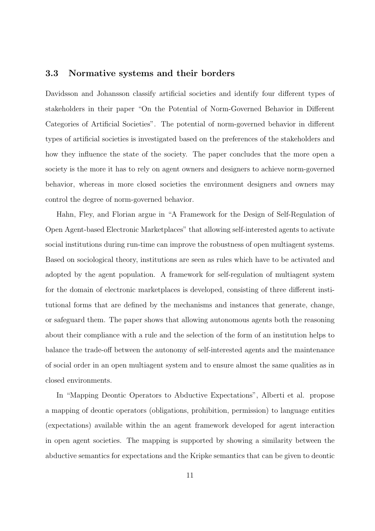#### 3.3 Normative systems and their borders

Davidsson and Johansson classify artificial societies and identify four different types of stakeholders in their paper "On the Potential of Norm-Governed Behavior in Different Categories of Artificial Societies". The potential of norm-governed behavior in different types of artificial societies is investigated based on the preferences of the stakeholders and how they influence the state of the society. The paper concludes that the more open a society is the more it has to rely on agent owners and designers to achieve norm-governed behavior, whereas in more closed societies the environment designers and owners may control the degree of norm-governed behavior.

Hahn, Fley, and Florian argue in "A Framework for the Design of Self-Regulation of Open Agent-based Electronic Marketplaces" that allowing self-interested agents to activate social institutions during run-time can improve the robustness of open multiagent systems. Based on sociological theory, institutions are seen as rules which have to be activated and adopted by the agent population. A framework for self-regulation of multiagent system for the domain of electronic marketplaces is developed, consisting of three different institutional forms that are defined by the mechanisms and instances that generate, change, or safeguard them. The paper shows that allowing autonomous agents both the reasoning about their compliance with a rule and the selection of the form of an institution helps to balance the trade-off between the autonomy of self-interested agents and the maintenance of social order in an open multiagent system and to ensure almost the same qualities as in closed environments.

In "Mapping Deontic Operators to Abductive Expectations", Alberti et al. propose a mapping of deontic operators (obligations, prohibition, permission) to language entities (expectations) available within the an agent framework developed for agent interaction in open agent societies. The mapping is supported by showing a similarity between the abductive semantics for expectations and the Kripke semantics that can be given to deontic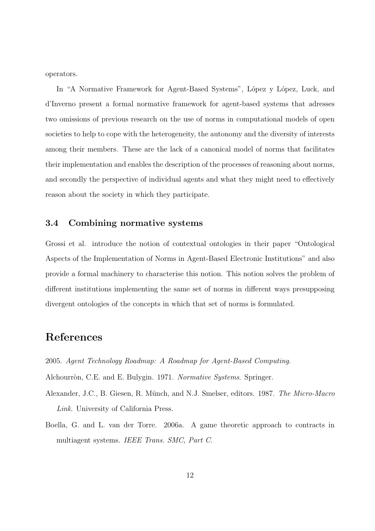operators.

In "A Normative Framework for Agent-Based Systems", López y López, Luck, and d'Inverno present a formal normative framework for agent-based systems that adresses two omissions of previous research on the use of norms in computational models of open societies to help to cope with the heterogeneity, the autonomy and the diversity of interests among their members. These are the lack of a canonical model of norms that facilitates their implementation and enables the description of the processes of reasoning about norms, and secondly the perspective of individual agents and what they might need to effectively reason about the society in which they participate.

### 3.4 Combining normative systems

Grossi et al. introduce the notion of contextual ontologies in their paper "Ontological Aspects of the Implementation of Norms in Agent-Based Electronic Institutions" and also provide a formal machinery to characterise this notion. This notion solves the problem of different institutions implementing the same set of norms in different ways presupposing divergent ontologies of the concepts in which that set of norms is formulated.

# References

- 2005. Agent Technology Roadmap: A Roadmap for Agent-Based Computing.
- Alchourròn, C.E. and E. Bulygin. 1971. Normative Systems. Springer.
- Alexander, J.C., B. Giesen, R. Münch, and N.J. Smelser, editors. 1987. The Micro-Macro Link. University of California Press.
- Boella, G. and L. van der Torre. 2006a. A game theoretic approach to contracts in multiagent systems. IEEE Trans. SMC, Part C.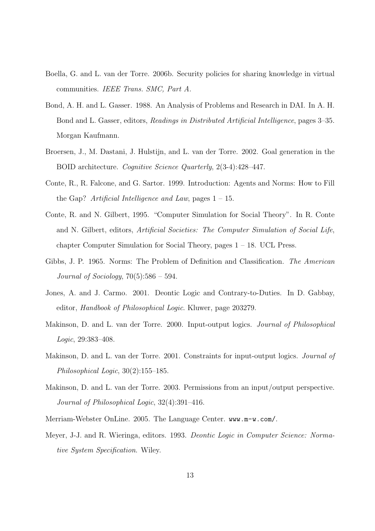- Boella, G. and L. van der Torre. 2006b. Security policies for sharing knowledge in virtual communities. IEEE Trans. SMC, Part A.
- Bond, A. H. and L. Gasser. 1988. An Analysis of Problems and Research in DAI. In A. H. Bond and L. Gasser, editors, Readings in Distributed Artificial Intelligence, pages 3–35. Morgan Kaufmann.
- Broersen, J., M. Dastani, J. Hulstijn, and L. van der Torre. 2002. Goal generation in the BOID architecture. Cognitive Science Quarterly, 2(3-4):428–447.
- Conte, R., R. Falcone, and G. Sartor. 1999. Introduction: Agents and Norms: How to Fill the Gap? Artificial Intelligence and Law, pages  $1 - 15$ .
- Conte, R. and N. Gilbert, 1995. "Computer Simulation for Social Theory". In R. Conte and N. Gilbert, editors, Artificial Societies: The Computer Simulation of Social Life, chapter Computer Simulation for Social Theory, pages 1 – 18. UCL Press.
- Gibbs, J. P. 1965. Norms: The Problem of Definition and Classification. The American *Journal of Sociology*,  $70(5):586 - 594$ .
- Jones, A. and J. Carmo. 2001. Deontic Logic and Contrary-to-Duties. In D. Gabbay, editor, Handbook of Philosophical Logic. Kluwer, page 203279.
- Makinson, D. and L. van der Torre. 2000. Input-output logics. Journal of Philosophical Logic, 29:383–408.
- Makinson, D. and L. van der Torre. 2001. Constraints for input-output logics. Journal of Philosophical Logic, 30(2):155–185.
- Makinson, D. and L. van der Torre. 2003. Permissions from an input/output perspective. Journal of Philosophical Logic, 32(4):391–416.
- Merriam-Webster OnLine. 2005. The Language Center. www.m-w.com/.
- Meyer, J-J. and R. Wieringa, editors. 1993. Deontic Logic in Computer Science: Normative System Specification. Wiley.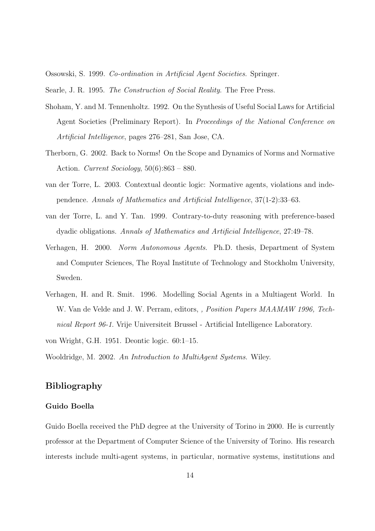Ossowski, S. 1999. Co-ordination in Artificial Agent Societies. Springer.

Searle, J. R. 1995. The Construction of Social Reality. The Free Press.

- Shoham, Y. and M. Tennenholtz. 1992. On the Synthesis of Useful Social Laws for Artificial Agent Societies (Preliminary Report). In Proceedings of the National Conference on Artificial Intelligence, pages 276–281, San Jose, CA.
- Therborn, G. 2002. Back to Norms! On the Scope and Dynamics of Norms and Normative Action. Current Sociology,  $50(6)$ :863 – 880.
- van der Torre, L. 2003. Contextual deontic logic: Normative agents, violations and independence. Annals of Mathematics and Artificial Intelligence, 37(1-2):33–63.
- van der Torre, L. and Y. Tan. 1999. Contrary-to-duty reasoning with preference-based dyadic obligations. Annals of Mathematics and Artificial Intelligence, 27:49–78.
- Verhagen, H. 2000. Norm Autonomous Agents. Ph.D. thesis, Department of System and Computer Sciences, The Royal Institute of Technology and Stockholm University, Sweden.
- Verhagen, H. and R. Smit. 1996. Modelling Social Agents in a Multiagent World. In W. Van de Velde and J. W. Perram, editors, , *Position Papers MAAMAW 1996*, Technical Report 96-1. Vrije Universiteit Brussel - Artificial Intelligence Laboratory.

von Wright, G.H. 1951. Deontic logic. 60:1–15.

Wooldridge, M. 2002. An Introduction to MultiAgent Systems. Wiley.

### Bibliography

#### Guido Boella

Guido Boella received the PhD degree at the University of Torino in 2000. He is currently professor at the Department of Computer Science of the University of Torino. His research interests include multi-agent systems, in particular, normative systems, institutions and